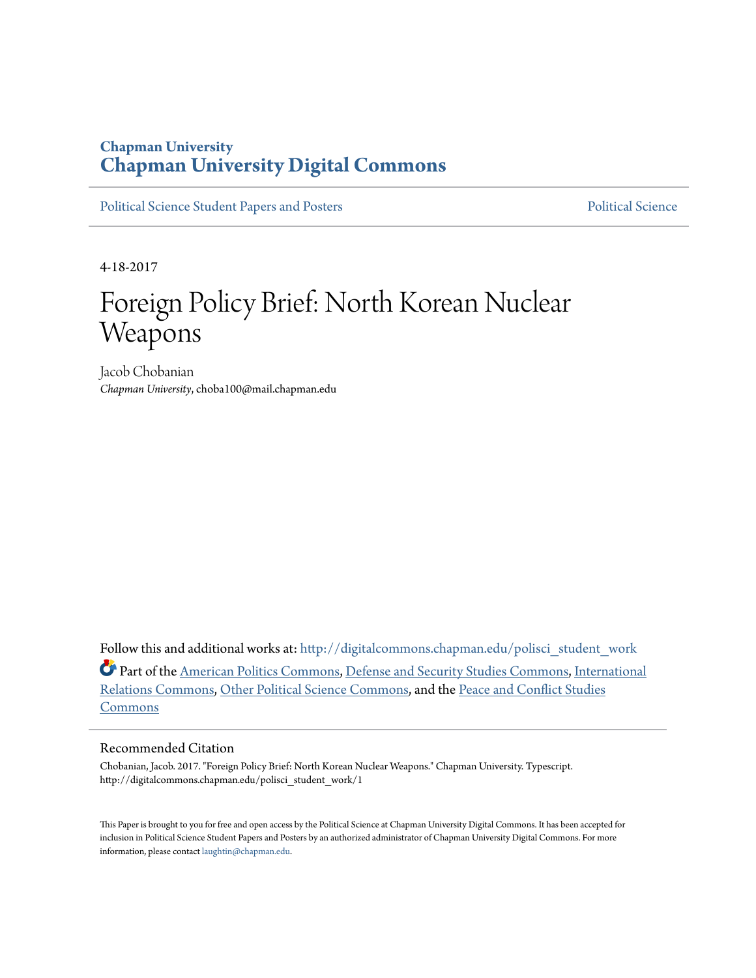### **Chapman University [Chapman University Digital Commons](http://digitalcommons.chapman.edu?utm_source=digitalcommons.chapman.edu%2Fpolisci_student_work%2F1&utm_medium=PDF&utm_campaign=PDFCoverPages)**

[Political Science Student Papers and Posters](http://digitalcommons.chapman.edu/polisci_student_work?utm_source=digitalcommons.chapman.edu%2Fpolisci_student_work%2F1&utm_medium=PDF&utm_campaign=PDFCoverPages) **[Political Science](http://digitalcommons.chapman.edu/politicalscience?utm_source=digitalcommons.chapman.edu%2Fpolisci_student_work%2F1&utm_medium=PDF&utm_campaign=PDFCoverPages)** Political Science

4-18-2017

# Foreign Policy Brief: North Korean Nuclear Weapons

Jacob Chobanian *Chapman University*, choba100@mail.chapman.edu

Follow this and additional works at: [http://digitalcommons.chapman.edu/polisci\\_student\\_work](http://digitalcommons.chapman.edu/polisci_student_work?utm_source=digitalcommons.chapman.edu%2Fpolisci_student_work%2F1&utm_medium=PDF&utm_campaign=PDFCoverPages) Part of the [American Politics Commons](http://network.bepress.com/hgg/discipline/387?utm_source=digitalcommons.chapman.edu%2Fpolisci_student_work%2F1&utm_medium=PDF&utm_campaign=PDFCoverPages), [Defense and Security Studies Commons,](http://network.bepress.com/hgg/discipline/394?utm_source=digitalcommons.chapman.edu%2Fpolisci_student_work%2F1&utm_medium=PDF&utm_campaign=PDFCoverPages) [International](http://network.bepress.com/hgg/discipline/389?utm_source=digitalcommons.chapman.edu%2Fpolisci_student_work%2F1&utm_medium=PDF&utm_campaign=PDFCoverPages) [Relations Commons,](http://network.bepress.com/hgg/discipline/389?utm_source=digitalcommons.chapman.edu%2Fpolisci_student_work%2F1&utm_medium=PDF&utm_campaign=PDFCoverPages) [Other Political Science Commons](http://network.bepress.com/hgg/discipline/392?utm_source=digitalcommons.chapman.edu%2Fpolisci_student_work%2F1&utm_medium=PDF&utm_campaign=PDFCoverPages), and the [Peace and Conflict Studies](http://network.bepress.com/hgg/discipline/397?utm_source=digitalcommons.chapman.edu%2Fpolisci_student_work%2F1&utm_medium=PDF&utm_campaign=PDFCoverPages) [Commons](http://network.bepress.com/hgg/discipline/397?utm_source=digitalcommons.chapman.edu%2Fpolisci_student_work%2F1&utm_medium=PDF&utm_campaign=PDFCoverPages)

#### Recommended Citation

Chobanian, Jacob. 2017. "Foreign Policy Brief: North Korean Nuclear Weapons." Chapman University. Typescript. http://digitalcommons.chapman.edu/polisci\_student\_work/1

This Paper is brought to you for free and open access by the Political Science at Chapman University Digital Commons. It has been accepted for inclusion in Political Science Student Papers and Posters by an authorized administrator of Chapman University Digital Commons. For more information, please contact [laughtin@chapman.edu](mailto:laughtin@chapman.edu).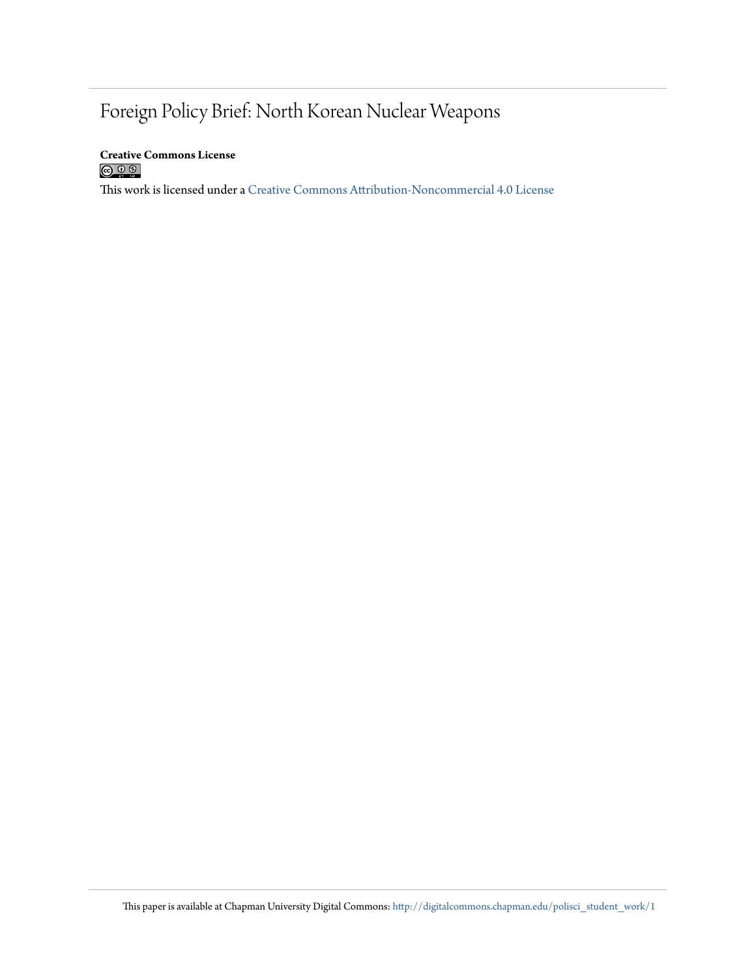### Foreign Policy Brief: North Korean Nuclear Weapons

## **Creative Commons License**<br>  $\textcircled{e}$  0  $\textcircled{s}$

This work is licensed under a [Creative Commons Attribution-Noncommercial 4.0 License](http://creativecommons.org/licenses/by-nc/4.0/)

This paper is available at Chapman University Digital Commons: [http://digitalcommons.chapman.edu/polisci\\_student\\_work/1](http://digitalcommons.chapman.edu/polisci_student_work/1?utm_source=digitalcommons.chapman.edu%2Fpolisci_student_work%2F1&utm_medium=PDF&utm_campaign=PDFCoverPages)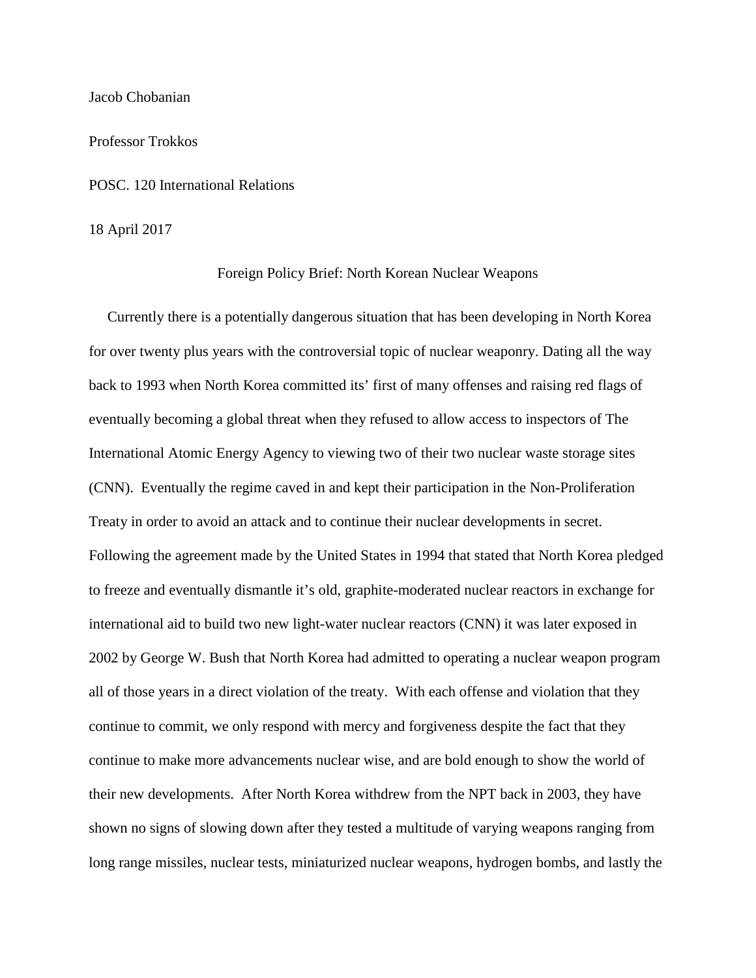Jacob Chobanian

Professor Trokkos

POSC. 120 International Relations

18 April 2017

#### Foreign Policy Brief: North Korean Nuclear Weapons

 Currently there is a potentially dangerous situation that has been developing in North Korea for over twenty plus years with the controversial topic of nuclear weaponry. Dating all the way back to 1993 when North Korea committed its' first of many offenses and raising red flags of eventually becoming a global threat when they refused to allow access to inspectors of The International Atomic Energy Agency to viewing two of their two nuclear waste storage sites (CNN). Eventually the regime caved in and kept their participation in the Non-Proliferation Treaty in order to avoid an attack and to continue their nuclear developments in secret. Following the agreement made by the United States in 1994 that stated that North Korea pledged to freeze and eventually dismantle it's old, graphite-moderated nuclear reactors in exchange for international aid to build two new light-water nuclear reactors (CNN) it was later exposed in 2002 by George W. Bush that North Korea had admitted to operating a nuclear weapon program all of those years in a direct violation of the treaty. With each offense and violation that they continue to commit, we only respond with mercy and forgiveness despite the fact that they continue to make more advancements nuclear wise, and are bold enough to show the world of their new developments. After North Korea withdrew from the NPT back in 2003, they have shown no signs of slowing down after they tested a multitude of varying weapons ranging from long range missiles, nuclear tests, miniaturized nuclear weapons, hydrogen bombs, and lastly the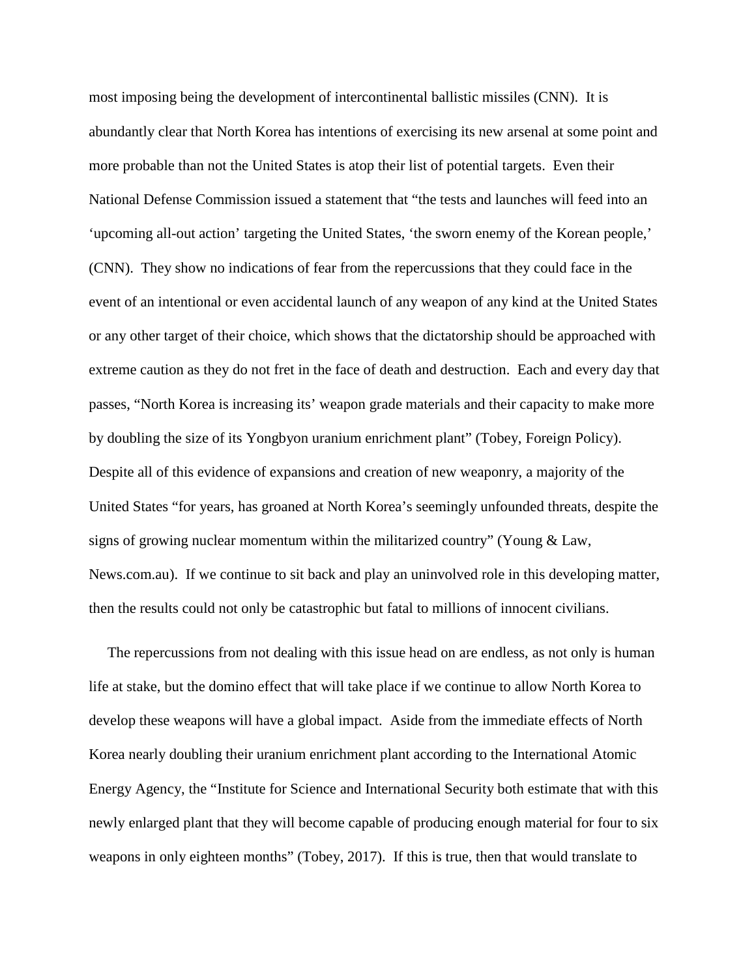most imposing being the development of intercontinental ballistic missiles (CNN). It is abundantly clear that North Korea has intentions of exercising its new arsenal at some point and more probable than not the United States is atop their list of potential targets. Even their National Defense Commission issued a statement that "the tests and launches will feed into an 'upcoming all-out action' targeting the United States, 'the sworn enemy of the Korean people,' (CNN). They show no indications of fear from the repercussions that they could face in the event of an intentional or even accidental launch of any weapon of any kind at the United States or any other target of their choice, which shows that the dictatorship should be approached with extreme caution as they do not fret in the face of death and destruction. Each and every day that passes, "North Korea is increasing its' weapon grade materials and their capacity to make more by doubling the size of its Yongbyon uranium enrichment plant" (Tobey, Foreign Policy). Despite all of this evidence of expansions and creation of new weaponry, a majority of the United States "for years, has groaned at North Korea's seemingly unfounded threats, despite the signs of growing nuclear momentum within the militarized country" (Young & Law, News.com.au). If we continue to sit back and play an uninvolved role in this developing matter, then the results could not only be catastrophic but fatal to millions of innocent civilians.

 The repercussions from not dealing with this issue head on are endless, as not only is human life at stake, but the domino effect that will take place if we continue to allow North Korea to develop these weapons will have a global impact. Aside from the immediate effects of North Korea nearly doubling their uranium enrichment plant according to the International Atomic Energy Agency, the "Institute for Science and International Security both estimate that with this newly enlarged plant that they will become capable of producing enough material for four to six weapons in only eighteen months" (Tobey, 2017). If this is true, then that would translate to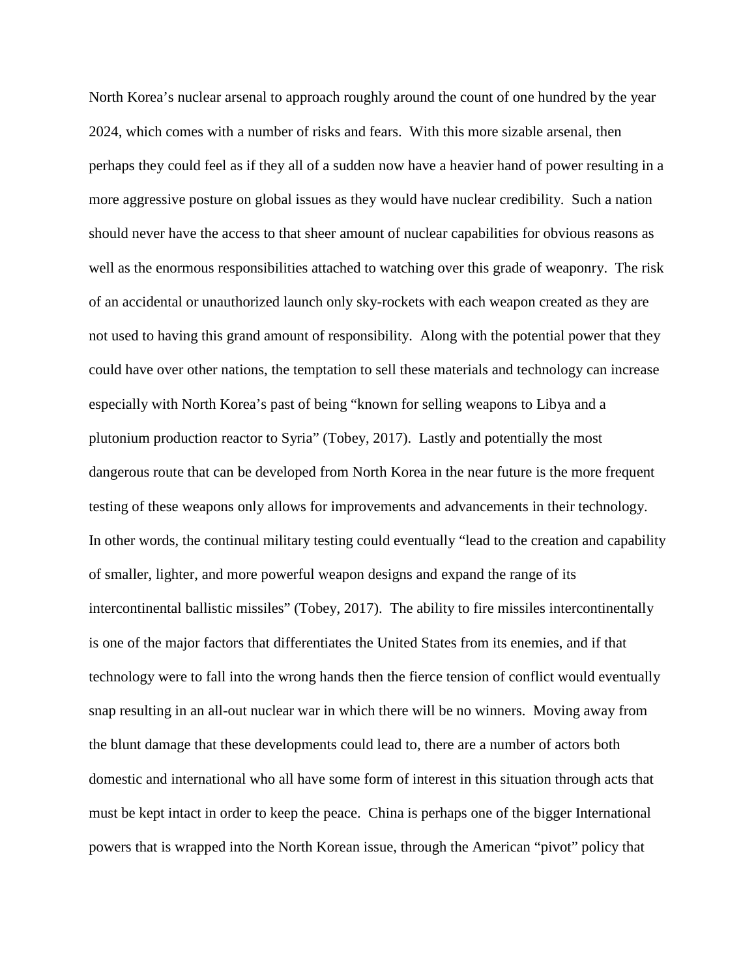North Korea's nuclear arsenal to approach roughly around the count of one hundred by the year 2024, which comes with a number of risks and fears. With this more sizable arsenal, then perhaps they could feel as if they all of a sudden now have a heavier hand of power resulting in a more aggressive posture on global issues as they would have nuclear credibility. Such a nation should never have the access to that sheer amount of nuclear capabilities for obvious reasons as well as the enormous responsibilities attached to watching over this grade of weaponry. The risk of an accidental or unauthorized launch only sky-rockets with each weapon created as they are not used to having this grand amount of responsibility. Along with the potential power that they could have over other nations, the temptation to sell these materials and technology can increase especially with North Korea's past of being "known for selling weapons to Libya and a plutonium production reactor to Syria" (Tobey, 2017). Lastly and potentially the most dangerous route that can be developed from North Korea in the near future is the more frequent testing of these weapons only allows for improvements and advancements in their technology. In other words, the continual military testing could eventually "lead to the creation and capability of smaller, lighter, and more powerful weapon designs and expand the range of its intercontinental ballistic missiles" (Tobey, 2017). The ability to fire missiles intercontinentally is one of the major factors that differentiates the United States from its enemies, and if that technology were to fall into the wrong hands then the fierce tension of conflict would eventually snap resulting in an all-out nuclear war in which there will be no winners. Moving away from the blunt damage that these developments could lead to, there are a number of actors both domestic and international who all have some form of interest in this situation through acts that must be kept intact in order to keep the peace. China is perhaps one of the bigger International powers that is wrapped into the North Korean issue, through the American "pivot" policy that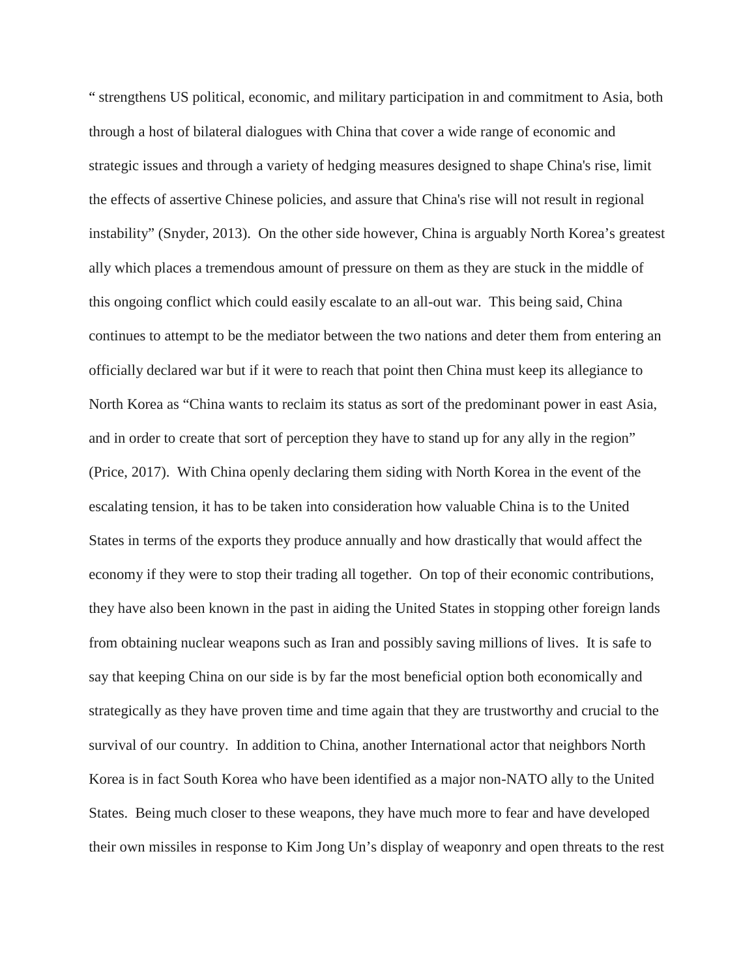" strengthens US political, economic, and military participation in and commitment to Asia, both through a host of bilateral dialogues with China that cover a wide range of economic and strategic issues and through a variety of hedging measures designed to shape China's rise, limit the effects of assertive Chinese policies, and assure that China's rise will not result in regional instability" (Snyder, 2013). On the other side however, China is arguably North Korea's greatest ally which places a tremendous amount of pressure on them as they are stuck in the middle of this ongoing conflict which could easily escalate to an all-out war. This being said, China continues to attempt to be the mediator between the two nations and deter them from entering an officially declared war but if it were to reach that point then China must keep its allegiance to North Korea as "China wants to reclaim its status as sort of the predominant power in east Asia, and in order to create that sort of perception they have to stand up for any ally in the region" (Price, 2017). With China openly declaring them siding with North Korea in the event of the escalating tension, it has to be taken into consideration how valuable China is to the United States in terms of the exports they produce annually and how drastically that would affect the economy if they were to stop their trading all together. On top of their economic contributions, they have also been known in the past in aiding the United States in stopping other foreign lands from obtaining nuclear weapons such as Iran and possibly saving millions of lives. It is safe to say that keeping China on our side is by far the most beneficial option both economically and strategically as they have proven time and time again that they are trustworthy and crucial to the survival of our country. In addition to China, another International actor that neighbors North Korea is in fact South Korea who have been identified as a major non-NATO ally to the United States. Being much closer to these weapons, they have much more to fear and have developed their own missiles in response to Kim Jong Un's display of weaponry and open threats to the rest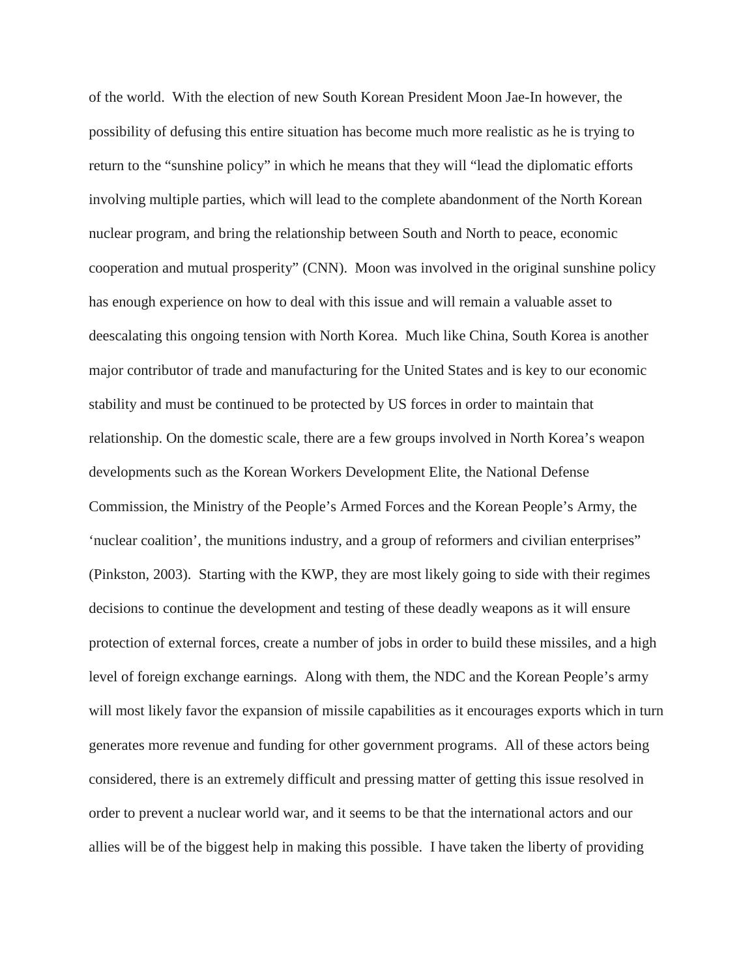of the world. With the election of new South Korean President Moon Jae-In however, the possibility of defusing this entire situation has become much more realistic as he is trying to return to the "sunshine policy" in which he means that they will "lead the diplomatic efforts involving multiple parties, which will lead to the complete abandonment of the North Korean nuclear program, and bring the relationship between South and North to peace, economic cooperation and mutual prosperity" (CNN). Moon was involved in the original sunshine policy has enough experience on how to deal with this issue and will remain a valuable asset to deescalating this ongoing tension with North Korea. Much like China, South Korea is another major contributor of trade and manufacturing for the United States and is key to our economic stability and must be continued to be protected by US forces in order to maintain that relationship. On the domestic scale, there are a few groups involved in North Korea's weapon developments such as the Korean Workers Development Elite, the National Defense Commission, the Ministry of the People's Armed Forces and the Korean People's Army, the 'nuclear coalition', the munitions industry, and a group of reformers and civilian enterprises" (Pinkston, 2003). Starting with the KWP, they are most likely going to side with their regimes decisions to continue the development and testing of these deadly weapons as it will ensure protection of external forces, create a number of jobs in order to build these missiles, and a high level of foreign exchange earnings. Along with them, the NDC and the Korean People's army will most likely favor the expansion of missile capabilities as it encourages exports which in turn generates more revenue and funding for other government programs. All of these actors being considered, there is an extremely difficult and pressing matter of getting this issue resolved in order to prevent a nuclear world war, and it seems to be that the international actors and our allies will be of the biggest help in making this possible. I have taken the liberty of providing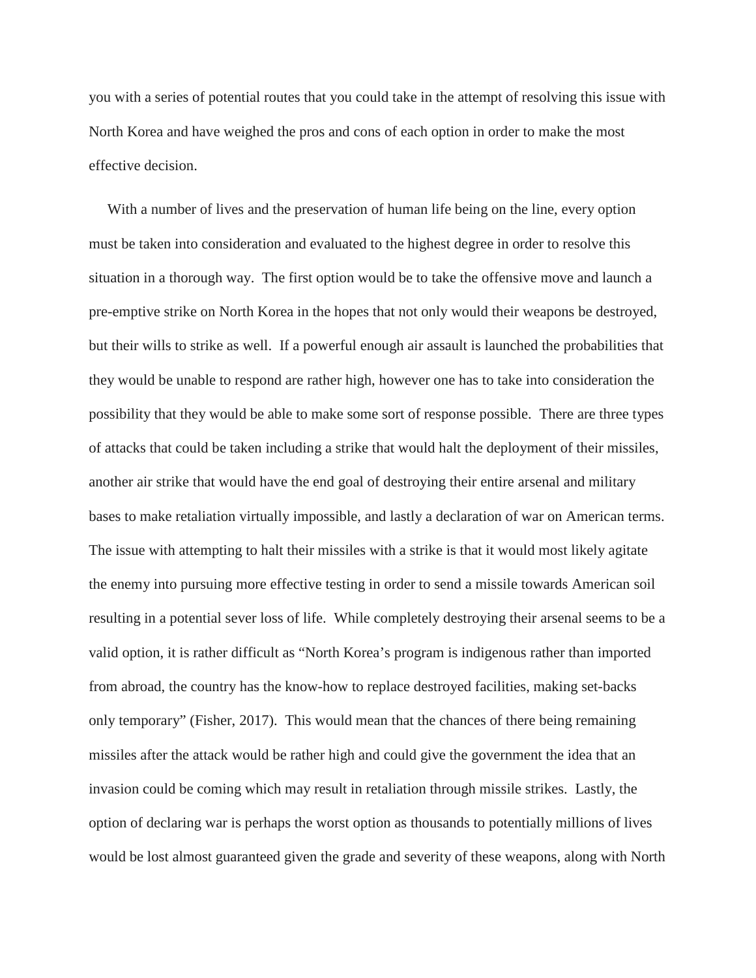you with a series of potential routes that you could take in the attempt of resolving this issue with North Korea and have weighed the pros and cons of each option in order to make the most effective decision.

 With a number of lives and the preservation of human life being on the line, every option must be taken into consideration and evaluated to the highest degree in order to resolve this situation in a thorough way. The first option would be to take the offensive move and launch a pre-emptive strike on North Korea in the hopes that not only would their weapons be destroyed, but their wills to strike as well. If a powerful enough air assault is launched the probabilities that they would be unable to respond are rather high, however one has to take into consideration the possibility that they would be able to make some sort of response possible. There are three types of attacks that could be taken including a strike that would halt the deployment of their missiles, another air strike that would have the end goal of destroying their entire arsenal and military bases to make retaliation virtually impossible, and lastly a declaration of war on American terms. The issue with attempting to halt their missiles with a strike is that it would most likely agitate the enemy into pursuing more effective testing in order to send a missile towards American soil resulting in a potential sever loss of life. While completely destroying their arsenal seems to be a valid option, it is rather difficult as "North Korea's program is indigenous rather than imported from abroad, the country has the know-how to replace destroyed facilities, making set-backs only temporary" (Fisher, 2017). This would mean that the chances of there being remaining missiles after the attack would be rather high and could give the government the idea that an invasion could be coming which may result in retaliation through missile strikes. Lastly, the option of declaring war is perhaps the worst option as thousands to potentially millions of lives would be lost almost guaranteed given the grade and severity of these weapons, along with North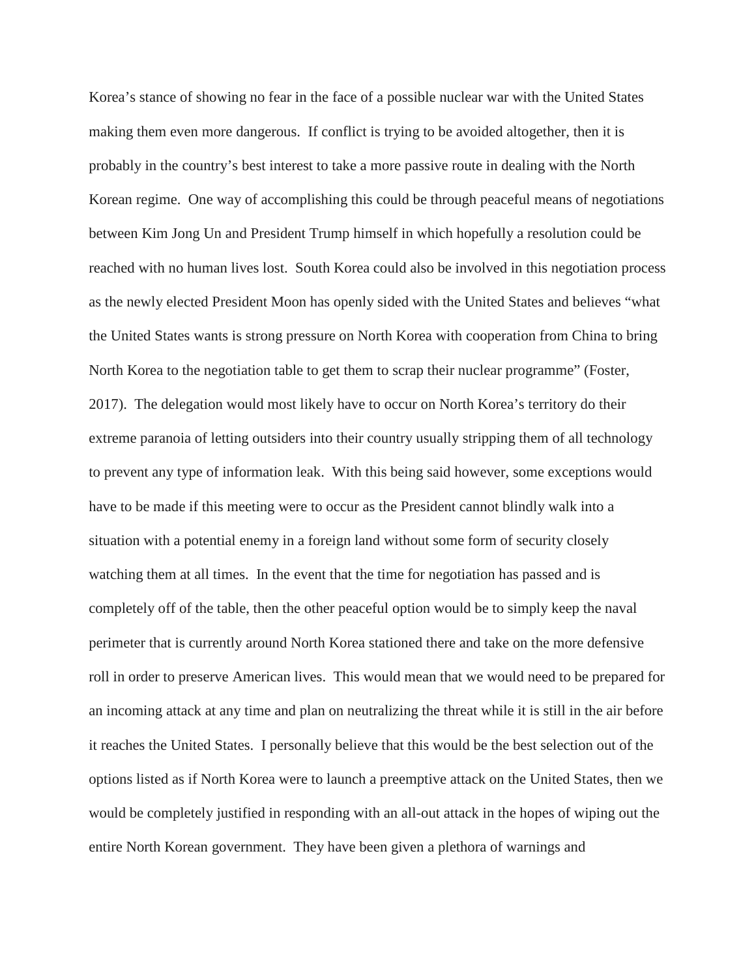Korea's stance of showing no fear in the face of a possible nuclear war with the United States making them even more dangerous. If conflict is trying to be avoided altogether, then it is probably in the country's best interest to take a more passive route in dealing with the North Korean regime. One way of accomplishing this could be through peaceful means of negotiations between Kim Jong Un and President Trump himself in which hopefully a resolution could be reached with no human lives lost. South Korea could also be involved in this negotiation process as the newly elected President Moon has openly sided with the United States and believes "what the United States wants is strong pressure on North Korea with cooperation from China to bring North Korea to the negotiation table to get them to scrap their nuclear programme" (Foster, 2017). The delegation would most likely have to occur on North Korea's territory do their extreme paranoia of letting outsiders into their country usually stripping them of all technology to prevent any type of information leak. With this being said however, some exceptions would have to be made if this meeting were to occur as the President cannot blindly walk into a situation with a potential enemy in a foreign land without some form of security closely watching them at all times. In the event that the time for negotiation has passed and is completely off of the table, then the other peaceful option would be to simply keep the naval perimeter that is currently around North Korea stationed there and take on the more defensive roll in order to preserve American lives. This would mean that we would need to be prepared for an incoming attack at any time and plan on neutralizing the threat while it is still in the air before it reaches the United States. I personally believe that this would be the best selection out of the options listed as if North Korea were to launch a preemptive attack on the United States, then we would be completely justified in responding with an all-out attack in the hopes of wiping out the entire North Korean government. They have been given a plethora of warnings and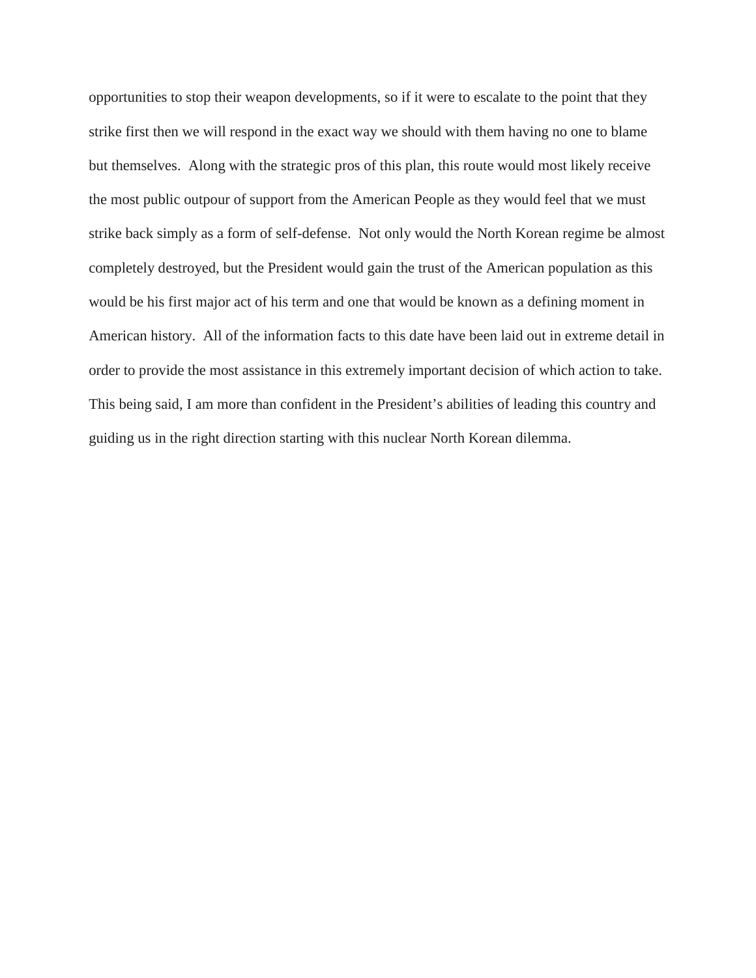opportunities to stop their weapon developments, so if it were to escalate to the point that they strike first then we will respond in the exact way we should with them having no one to blame but themselves. Along with the strategic pros of this plan, this route would most likely receive the most public outpour of support from the American People as they would feel that we must strike back simply as a form of self-defense. Not only would the North Korean regime be almost completely destroyed, but the President would gain the trust of the American population as this would be his first major act of his term and one that would be known as a defining moment in American history. All of the information facts to this date have been laid out in extreme detail in order to provide the most assistance in this extremely important decision of which action to take. This being said, I am more than confident in the President's abilities of leading this country and guiding us in the right direction starting with this nuclear North Korean dilemma.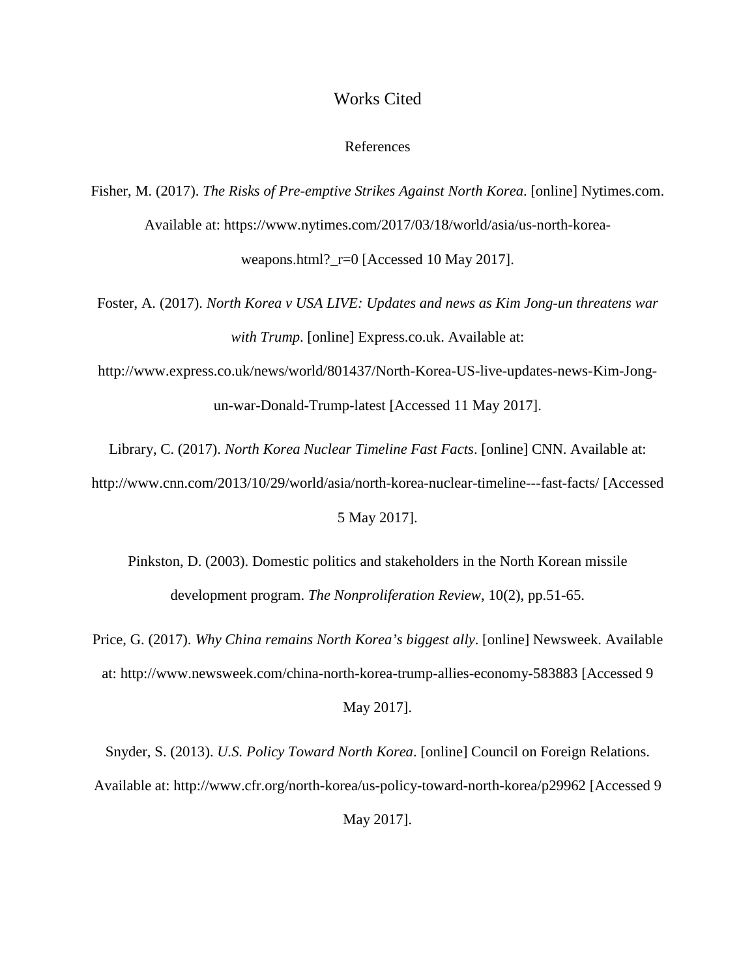### Works Cited

### References

Fisher, M. (2017). *The Risks of Pre-emptive Strikes Against North Korea*. [online] Nytimes.com. Available at: https://www.nytimes.com/2017/03/18/world/asia/us-north-koreaweapons.html?  $r=0$  [Accessed 10 May 2017].

Foster, A. (2017). *North Korea v USA LIVE: Updates and news as Kim Jong-un threatens war with Trump*. [online] Express.co.uk. Available at:

http://www.express.co.uk/news/world/801437/North-Korea-US-live-updates-news-Kim-Jongun-war-Donald-Trump-latest [Accessed 11 May 2017].

Library, C. (2017). *North Korea Nuclear Timeline Fast Facts*. [online] CNN. Available at: http://www.cnn.com/2013/10/29/world/asia/north-korea-nuclear-timeline---fast-facts/ [Accessed

5 May 2017].

Pinkston, D. (2003). Domestic politics and stakeholders in the North Korean missile development program. *The Nonproliferation Review*, 10(2), pp.51-65.

Price, G. (2017). *Why China remains North Korea's biggest ally*. [online] Newsweek. Available at: http://www.newsweek.com/china-north-korea-trump-allies-economy-583883 [Accessed 9

May 2017].

Snyder, S. (2013). *U.S. Policy Toward North Korea*. [online] Council on Foreign Relations. Available at: http://www.cfr.org/north-korea/us-policy-toward-north-korea/p29962 [Accessed 9 May 2017].